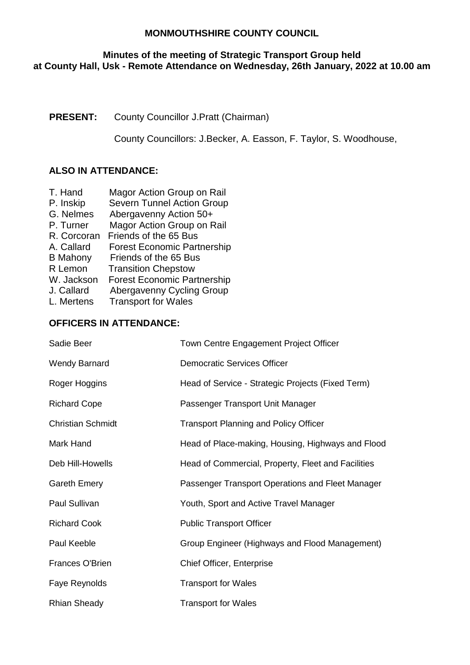## **Minutes of the meeting of Strategic Transport Group held at County Hall, Usk - Remote Attendance on Wednesday, 26th January, 2022 at 10.00 am**

# **PRESENT:** County Councillor J.Pratt (Chairman)

County Councillors: J.Becker, A. Easson, F. Taylor, S. Woodhouse,

# **ALSO IN ATTENDANCE:**

- T. Hand Magor Action Group on Rail
- P. Inskip Severn Tunnel Action Group
- G. Nelmes Abergavenny Action 50+
- P. Turner Magor Action Group on Rail
- R. Corcoran Friends of the 65 Bus
- A. Callard Forest Economic Partnership
- B Mahony Friends of the 65 Bus
- R Lemon Transition Chepstow
- W. Jackson Forest Economic Partnership
- J. Callard Abergavenny Cycling Group
- L. Mertens Transport for Wales

## **OFFICERS IN ATTENDANCE:**

| Sadie Beer               | Town Centre Engagement Project Officer             |
|--------------------------|----------------------------------------------------|
| <b>Wendy Barnard</b>     | <b>Democratic Services Officer</b>                 |
| Roger Hoggins            | Head of Service - Strategic Projects (Fixed Term)  |
| <b>Richard Cope</b>      | Passenger Transport Unit Manager                   |
| <b>Christian Schmidt</b> | <b>Transport Planning and Policy Officer</b>       |
| Mark Hand                | Head of Place-making, Housing, Highways and Flood  |
| Deb Hill-Howells         | Head of Commercial, Property, Fleet and Facilities |
| <b>Gareth Emery</b>      | Passenger Transport Operations and Fleet Manager   |
| Paul Sullivan            | Youth, Sport and Active Travel Manager             |
| <b>Richard Cook</b>      | <b>Public Transport Officer</b>                    |
| Paul Keeble              | Group Engineer (Highways and Flood Management)     |
| <b>Frances O'Brien</b>   | <b>Chief Officer, Enterprise</b>                   |
| Faye Reynolds            | <b>Transport for Wales</b>                         |
| <b>Rhian Sheady</b>      | <b>Transport for Wales</b>                         |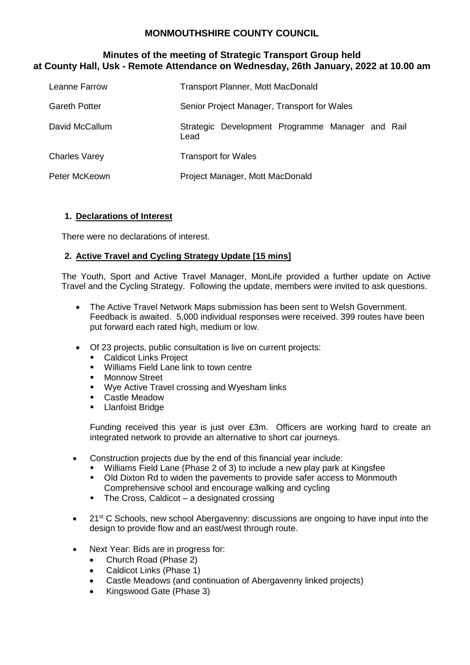### **Minutes of the meeting of Strategic Transport Group held at County Hall, Usk - Remote Attendance on Wednesday, 26th January, 2022 at 10.00 am**

| Leanne Farrow        | <b>Transport Planner, Mott MacDonald</b>                 |
|----------------------|----------------------------------------------------------|
| <b>Gareth Potter</b> | Senior Project Manager, Transport for Wales              |
| David McCallum       | Strategic Development Programme Manager and Rail<br>Lead |
| <b>Charles Varey</b> | <b>Transport for Wales</b>                               |
| Peter McKeown        | Project Manager, Mott MacDonald                          |

### **1. Declarations of Interest**

There were no declarations of interest.

## **2. Active Travel and Cycling Strategy Update [15 mins]**

The Youth, Sport and Active Travel Manager, MonLife provided a further update on Active Travel and the Cycling Strategy. Following the update, members were invited to ask questions.

- The Active Travel Network Maps submission has been sent to Welsh Government. Feedback is awaited. 5,000 individual responses were received. 399 routes have been put forward each rated high, medium or low.
- Of 23 projects, public consultation is live on current projects:
	- **Caldicot Links Project**
	- **Williams Field Lane link to town centre**
	- Monnow Street
	- **Wye Active Travel crossing and Wyesham links**
	- Castle Meadow
	- **-** Llanfoist Bridge

Funding received this year is just over £3m. Officers are working hard to create an integrated network to provide an alternative to short car journeys.

- Construction projects due by the end of this financial year include:
	- Williams Field Lane (Phase 2 of 3) to include a new play park at Kingsfee
	- Old Dixton Rd to widen the pavements to provide safer access to Monmouth Comprehensive school and encourage walking and cycling
	- $\blacksquare$  The Cross, Caldicot a designated crossing
- $\bullet$  21<sup>st</sup> C Schools, new school Abergavenny: discussions are ongoing to have input into the design to provide flow and an east/west through route.
- Next Year: Bids are in progress for:
	- Church Road (Phase 2)
	- Caldicot Links (Phase 1)
	- Castle Meadows (and continuation of Abergavenny linked projects)
	- Kingswood Gate (Phase 3)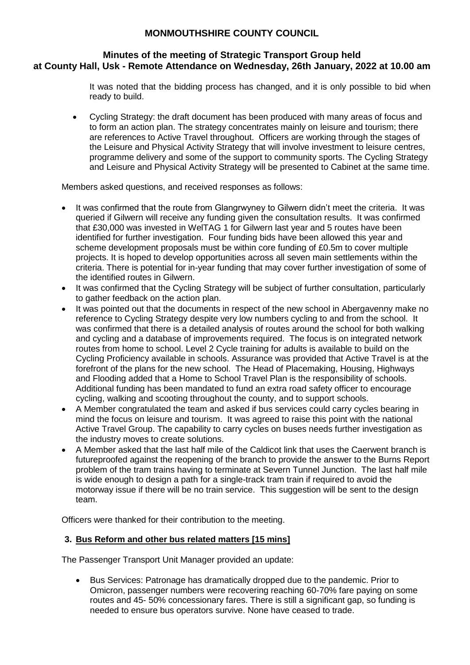#### **Minutes of the meeting of Strategic Transport Group held at County Hall, Usk - Remote Attendance on Wednesday, 26th January, 2022 at 10.00 am**

It was noted that the bidding process has changed, and it is only possible to bid when ready to build.

 Cycling Strategy: the draft document has been produced with many areas of focus and to form an action plan. The strategy concentrates mainly on leisure and tourism; there are references to Active Travel throughout. Officers are working through the stages of the Leisure and Physical Activity Strategy that will involve investment to leisure centres, programme delivery and some of the support to community sports. The Cycling Strategy and Leisure and Physical Activity Strategy will be presented to Cabinet at the same time.

Members asked questions, and received responses as follows:

- It was confirmed that the route from Glangrwyney to Gilwern didn't meet the criteria. It was queried if Gilwern will receive any funding given the consultation results. It was confirmed that £30,000 was invested in WelTAG 1 for Gilwern last year and 5 routes have been identified for further investigation. Four funding bids have been allowed this year and scheme development proposals must be within core funding of £0.5m to cover multiple projects. It is hoped to develop opportunities across all seven main settlements within the criteria. There is potential for in-year funding that may cover further investigation of some of the identified routes in Gilwern.
- It was confirmed that the Cycling Strategy will be subject of further consultation, particularly to gather feedback on the action plan.
- It was pointed out that the documents in respect of the new school in Abergavenny make no reference to Cycling Strategy despite very low numbers cycling to and from the school. It was confirmed that there is a detailed analysis of routes around the school for both walking and cycling and a database of improvements required. The focus is on integrated network routes from home to school. Level 2 Cycle training for adults is available to build on the Cycling Proficiency available in schools. Assurance was provided that Active Travel is at the forefront of the plans for the new school. The Head of Placemaking, Housing, Highways and Flooding added that a Home to School Travel Plan is the responsibility of schools. Additional funding has been mandated to fund an extra road safety officer to encourage cycling, walking and scooting throughout the county, and to support schools.
- A Member congratulated the team and asked if bus services could carry cycles bearing in mind the focus on leisure and tourism. It was agreed to raise this point with the national Active Travel Group. The capability to carry cycles on buses needs further investigation as the industry moves to create solutions.
- A Member asked that the last half mile of the Caldicot link that uses the Caerwent branch is futureproofed against the reopening of the branch to provide the answer to the Burns Report problem of the tram trains having to terminate at Severn Tunnel Junction. The last half mile is wide enough to design a path for a single-track tram train if required to avoid the motorway issue if there will be no train service. This suggestion will be sent to the design team.

Officers were thanked for their contribution to the meeting.

## **3. Bus Reform and other bus related matters [15 mins]**

The Passenger Transport Unit Manager provided an update:

 Bus Services: Patronage has dramatically dropped due to the pandemic. Prior to Omicron, passenger numbers were recovering reaching 60-70% fare paying on some routes and 45- 50% concessionary fares. There is still a significant gap, so funding is needed to ensure bus operators survive. None have ceased to trade.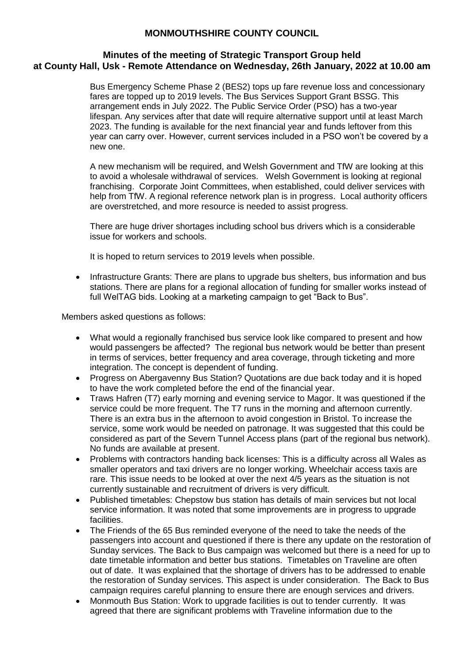#### **Minutes of the meeting of Strategic Transport Group held at County Hall, Usk - Remote Attendance on Wednesday, 26th January, 2022 at 10.00 am**

Bus Emergency Scheme Phase 2 (BES2) tops up fare revenue loss and concessionary fares are topped up to 2019 levels. The Bus Services Support Grant BSSG. This arrangement ends in July 2022. The Public Service Order (PSO) has a two-year lifespan. Any services after that date will require alternative support until at least March 2023. The funding is available for the next financial year and funds leftover from this year can carry over. However, current services included in a PSO won't be covered by a new one.

A new mechanism will be required, and Welsh Government and TfW are looking at this to avoid a wholesale withdrawal of services. Welsh Government is looking at regional franchising. Corporate Joint Committees, when established, could deliver services with help from TfW. A regional reference network plan is in progress. Local authority officers are overstretched, and more resource is needed to assist progress.

There are huge driver shortages including school bus drivers which is a considerable issue for workers and schools.

It is hoped to return services to 2019 levels when possible.

 Infrastructure Grants: There are plans to upgrade bus shelters, bus information and bus stations. There are plans for a regional allocation of funding for smaller works instead of full WelTAG bids. Looking at a marketing campaign to get "Back to Bus".

Members asked questions as follows:

- What would a regionally franchised bus service look like compared to present and how would passengers be affected? The regional bus network would be better than present in terms of services, better frequency and area coverage, through ticketing and more integration. The concept is dependent of funding.
- Progress on Abergavenny Bus Station? Quotations are due back today and it is hoped to have the work completed before the end of the financial year.
- Traws Hafren (T7) early morning and evening service to Magor. It was questioned if the service could be more frequent. The T7 runs in the morning and afternoon currently. There is an extra bus in the afternoon to avoid congestion in Bristol. To increase the service, some work would be needed on patronage. It was suggested that this could be considered as part of the Severn Tunnel Access plans (part of the regional bus network). No funds are available at present.
- Problems with contractors handing back licenses: This is a difficulty across all Wales as smaller operators and taxi drivers are no longer working. Wheelchair access taxis are rare. This issue needs to be looked at over the next 4/5 years as the situation is not currently sustainable and recruitment of drivers is very difficult.
- Published timetables: Chepstow bus station has details of main services but not local service information. It was noted that some improvements are in progress to upgrade facilities.
- The Friends of the 65 Bus reminded everyone of the need to take the needs of the passengers into account and questioned if there is there any update on the restoration of Sunday services. The Back to Bus campaign was welcomed but there is a need for up to date timetable information and better bus stations. Timetables on Traveline are often out of date. It was explained that the shortage of drivers has to be addressed to enable the restoration of Sunday services. This aspect is under consideration. The Back to Bus campaign requires careful planning to ensure there are enough services and drivers.
- Monmouth Bus Station: Work to upgrade facilities is out to tender currently. It was agreed that there are significant problems with Traveline information due to the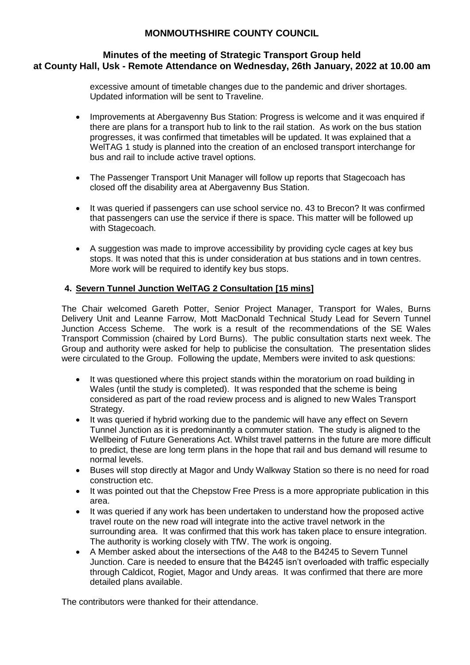#### **Minutes of the meeting of Strategic Transport Group held at County Hall, Usk - Remote Attendance on Wednesday, 26th January, 2022 at 10.00 am**

excessive amount of timetable changes due to the pandemic and driver shortages. Updated information will be sent to Traveline.

- Improvements at Abergavenny Bus Station: Progress is welcome and it was enquired if there are plans for a transport hub to link to the rail station. As work on the bus station progresses, it was confirmed that timetables will be updated. It was explained that a WelTAG 1 study is planned into the creation of an enclosed transport interchange for bus and rail to include active travel options.
- The Passenger Transport Unit Manager will follow up reports that Stagecoach has closed off the disability area at Abergavenny Bus Station.
- It was queried if passengers can use school service no. 43 to Brecon? It was confirmed that passengers can use the service if there is space. This matter will be followed up with Stagecoach.
- A suggestion was made to improve accessibility by providing cycle cages at key bus stops. It was noted that this is under consideration at bus stations and in town centres. More work will be required to identify key bus stops.

## **4. Severn Tunnel Junction WelTAG 2 Consultation [15 mins]**

The Chair welcomed Gareth Potter, Senior Project Manager, Transport for Wales, Burns Delivery Unit and Leanne Farrow, Mott MacDonald Technical Study Lead for Severn Tunnel Junction Access Scheme. The work is a result of the recommendations of the SE Wales Transport Commission (chaired by Lord Burns). The public consultation starts next week. The Group and authority were asked for help to publicise the consultation. The presentation slides were circulated to the Group. Following the update, Members were invited to ask questions:

- It was questioned where this project stands within the moratorium on road building in Wales (until the study is completed). It was responded that the scheme is being considered as part of the road review process and is aligned to new Wales Transport Strategy.
- It was queried if hybrid working due to the pandemic will have any effect on Severn Tunnel Junction as it is predominantly a commuter station. The study is aligned to the Wellbeing of Future Generations Act. Whilst travel patterns in the future are more difficult to predict, these are long term plans in the hope that rail and bus demand will resume to normal levels.
- Buses will stop directly at Magor and Undy Walkway Station so there is no need for road construction etc.
- It was pointed out that the Chepstow Free Press is a more appropriate publication in this area.
- It was queried if any work has been undertaken to understand how the proposed active travel route on the new road will integrate into the active travel network in the surrounding area. It was confirmed that this work has taken place to ensure integration. The authority is working closely with TfW. The work is ongoing.
- A Member asked about the intersections of the A48 to the B4245 to Severn Tunnel Junction. Care is needed to ensure that the B4245 isn't overloaded with traffic especially through Caldicot, Rogiet, Magor and Undy areas. It was confirmed that there are more detailed plans available.

The contributors were thanked for their attendance.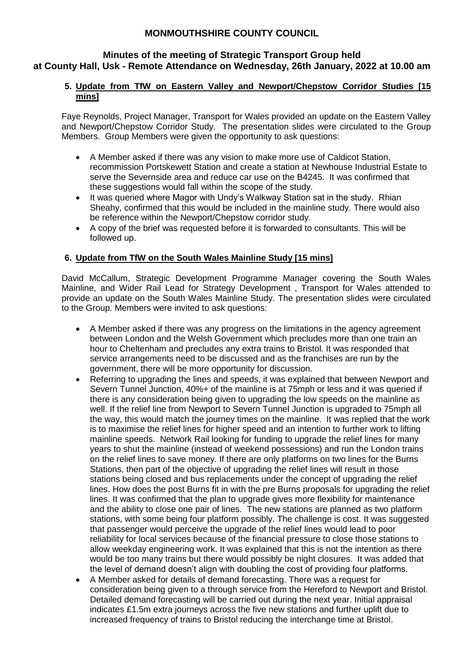### **Minutes of the meeting of Strategic Transport Group held at County Hall, Usk - Remote Attendance on Wednesday, 26th January, 2022 at 10.00 am**

### **5. Update from TfW on Eastern Valley and Newport/Chepstow Corridor Studies [15 mins]**

Faye Reynolds, Project Manager, Transport for Wales provided an update on the Eastern Valley and Newport/Chepstow Corridor Study. The presentation slides were circulated to the Group Members. Group Members were given the opportunity to ask questions:

- A Member asked if there was any vision to make more use of Caldicot Station, recommission Portskewett Station and create a station at Newhouse Industrial Estate to serve the Severnside area and reduce car use on the B4245. It was confirmed that these suggestions would fall within the scope of the study.
- It was queried where Magor with Undy's Walkway Station sat in the study. Rhian Sheahy, confirmed that this would be included in the mainline study. There would also be reference within the Newport/Chepstow corridor study.
- A copy of the brief was requested before it is forwarded to consultants. This will be followed up.

## **6. Update from TfW on the South Wales Mainline Study [15 mins]**

David McCallum, Strategic Development Programme Manager covering the South Wales Mainline, and Wider Rail Lead for Strategy Development , Transport for Wales attended to provide an update on the South Wales Mainline Study. The presentation slides were circulated to the Group. Members were invited to ask questions:

- A Member asked if there was any progress on the limitations in the agency agreement between London and the Welsh Government which precludes more than one train an hour to Cheltenham and precludes any extra trains to Bristol. It was responded that service arrangements need to be discussed and as the franchises are run by the government, there will be more opportunity for discussion.
- Referring to upgrading the lines and speeds, it was explained that between Newport and Severn Tunnel Junction, 40%+ of the mainline is at 75mph or less and it was queried if there is any consideration being given to upgrading the low speeds on the mainline as well. If the relief line from Newport to Severn Tunnel Junction is upgraded to 75mph all the way, this would match the journey times on the mainline. It was replied that the work is to maximise the relief lines for higher speed and an intention to further work to lifting mainline speeds. Network Rail looking for funding to upgrade the relief lines for many years to shut the mainline (instead of weekend possessions) and run the London trains on the relief lines to save money. If there are only platforms on two lines for the Burns Stations, then part of the objective of upgrading the relief lines will result in those stations being closed and bus replacements under the concept of upgrading the relief lines. How does the post Burns fit in with the pre Burns proposals for upgrading the relief lines. It was confirmed that the plan to upgrade gives more flexibility for maintenance and the ability to close one pair of lines. The new stations are planned as two platform stations, with some being four platform possibly. The challenge is cost. It was suggested that passenger would perceive the upgrade of the relief lines would lead to poor reliability for local services because of the financial pressure to close those stations to allow weekday engineering work. It was explained that this is not the intention as there would be too many trains but there would possibly be night closures. It was added that the level of demand doesn't align with doubling the cost of providing four platforms.
- A Member asked for details of demand forecasting. There was a request for consideration being given to a through service from the Hereford to Newport and Bristol. Detailed demand forecasting will be carried out during the next year. Initial appraisal indicates £1.5m extra journeys across the five new stations and further uplift due to increased frequency of trains to Bristol reducing the interchange time at Bristol.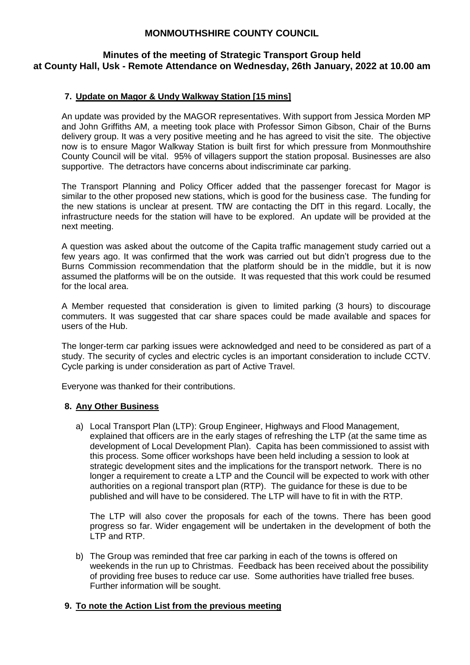### **Minutes of the meeting of Strategic Transport Group held at County Hall, Usk - Remote Attendance on Wednesday, 26th January, 2022 at 10.00 am**

### **7. Update on Magor & Undy Walkway Station [15 mins]**

An update was provided by the MAGOR representatives. With support from Jessica Morden MP and John Griffiths AM, a meeting took place with Professor Simon Gibson, Chair of the Burns delivery group. It was a very positive meeting and he has agreed to visit the site. The objective now is to ensure Magor Walkway Station is built first for which pressure from Monmouthshire County Council will be vital. 95% of villagers support the station proposal. Businesses are also supportive. The detractors have concerns about indiscriminate car parking.

The Transport Planning and Policy Officer added that the passenger forecast for Magor is similar to the other proposed new stations, which is good for the business case. The funding for the new stations is unclear at present. TfW are contacting the DfT in this regard. Locally, the infrastructure needs for the station will have to be explored. An update will be provided at the next meeting.

A question was asked about the outcome of the Capita traffic management study carried out a few years ago. It was confirmed that the work was carried out but didn't progress due to the Burns Commission recommendation that the platform should be in the middle, but it is now assumed the platforms will be on the outside. It was requested that this work could be resumed for the local area.

A Member requested that consideration is given to limited parking (3 hours) to discourage commuters. It was suggested that car share spaces could be made available and spaces for users of the Hub.

The longer-term car parking issues were acknowledged and need to be considered as part of a study. The security of cycles and electric cycles is an important consideration to include CCTV. Cycle parking is under consideration as part of Active Travel.

Everyone was thanked for their contributions.

#### **8. Any Other Business**

a) Local Transport Plan (LTP): Group Engineer, Highways and Flood Management, explained that officers are in the early stages of refreshing the LTP (at the same time as development of Local Development Plan). Capita has been commissioned to assist with this process. Some officer workshops have been held including a session to look at strategic development sites and the implications for the transport network. There is no longer a requirement to create a LTP and the Council will be expected to work with other authorities on a regional transport plan (RTP). The guidance for these is due to be published and will have to be considered. The LTP will have to fit in with the RTP.

The LTP will also cover the proposals for each of the towns. There has been good progress so far. Wider engagement will be undertaken in the development of both the LTP and RTP.

b) The Group was reminded that free car parking in each of the towns is offered on weekends in the run up to Christmas. Feedback has been received about the possibility of providing free buses to reduce car use. Some authorities have trialled free buses. Further information will be sought.

#### **9. To note the Action List from the previous meeting**